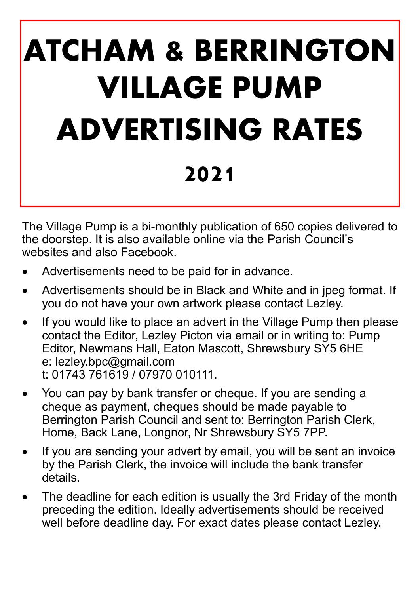# **ATCHAM & BERRINGTON VILLAGE PUMP ADVERTISING RATES 2021**

The Village Pump is a bi-monthly publication of 650 copies delivered to the doorstep. It is also available online via the Parish Council's websites and also Facebook.

- Advertisements need to be paid for in advance.
- Advertisements should be in Black and White and in jpeg format. If you do not have your own artwork please contact Lezley.
- If you would like to place an advert in the Village Pump then please contact the Editor, Lezley Picton via email or in writing to: Pump Editor, Newmans Hall, Eaton Mascott, Shrewsbury SY5 6HE e: lezley.bpc@gmail.com t: 01743 761619 / 07970 010111.
- You can pay by bank transfer or cheque. If you are sending a cheque as payment, cheques should be made payable to Berrington Parish Council and sent to: Berrington Parish Clerk, Home, Back Lane, Longnor, Nr Shrewsbury SY5 7PP.
- If you are sending your advert by email, you will be sent an invoice by the Parish Clerk, the invoice will include the bank transfer details.
- The deadline for each edition is usually the 3rd Friday of the month preceding the edition. Ideally advertisements should be received well before deadline day. For exact dates please contact Lezley.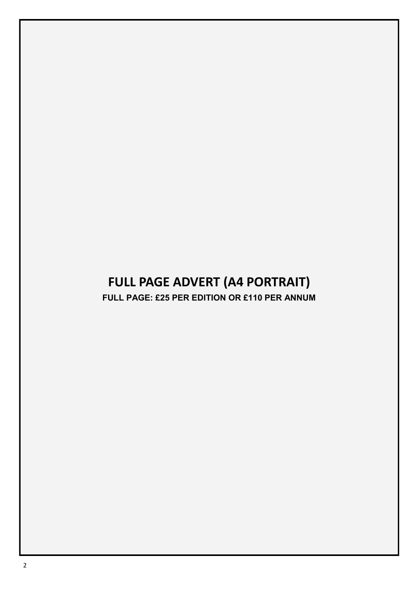## **FULL PAGE ADVERT (A4 PORTRAIT)**

**FULL PAGE: £25 PER EDITION OR £110 PER ANNUM**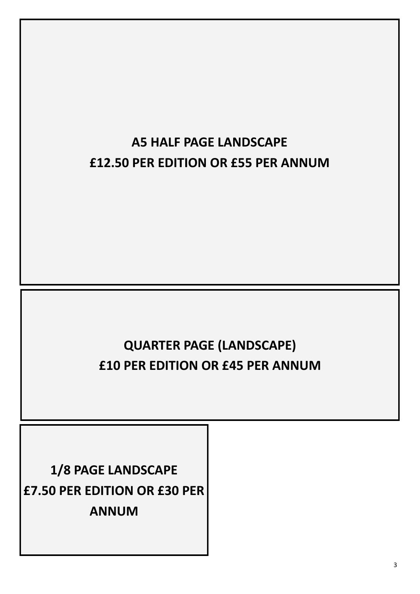### **A5 HALF PAGE LANDSCAPE £12.50 PER EDITION OR £55 PER ANNUM**

## **QUARTER PAGE (LANDSCAPE) £10 PER EDITION OR £45 PER ANNUM**

**1/8 PAGE LANDSCAPE £7.50 PER EDITION OR £30 PER ANNUM**